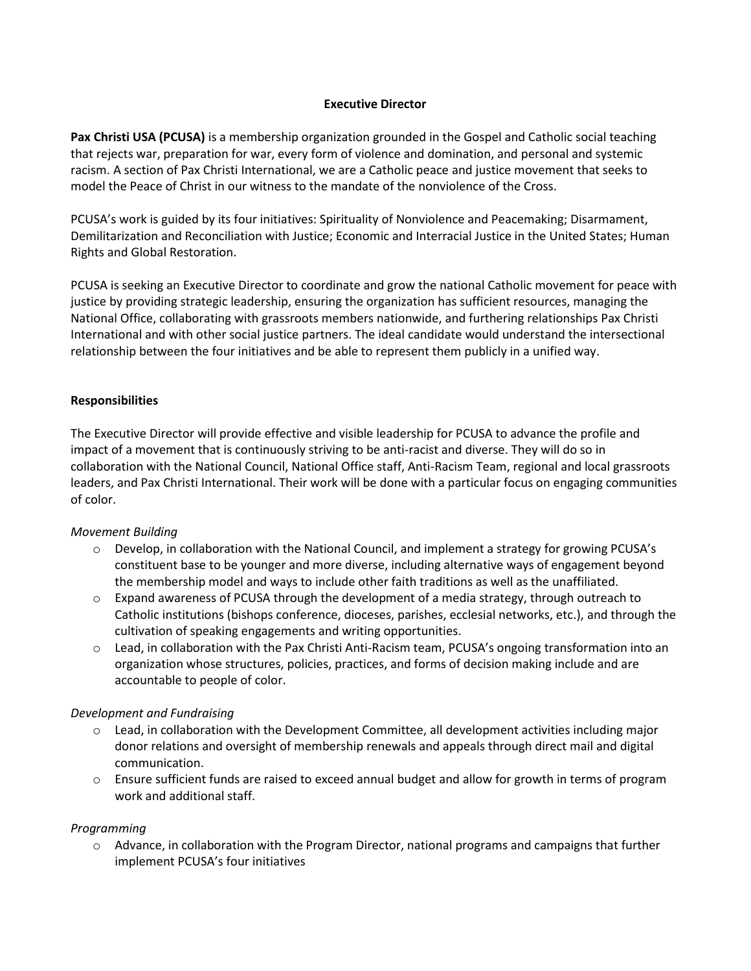### **Executive Director**

**Pax Christi USA (PCUSA)** is a membership organization grounded in the Gospel and Catholic social teaching that rejects war, preparation for war, every form of violence and domination, and personal and systemic racism. A section of Pax Christi International, we are a Catholic peace and justice movement that seeks to model the Peace of Christ in our witness to the mandate of the nonviolence of the Cross.

PCUSA's work is guided by its four initiatives: Spirituality of Nonviolence and Peacemaking; Disarmament, Demilitarization and Reconciliation with Justice; Economic and Interracial Justice in the United States; Human Rights and Global Restoration.

PCUSA is seeking an Executive Director to coordinate and grow the national Catholic movement for peace with justice by providing strategic leadership, ensuring the organization has sufficient resources, managing the National Office, collaborating with grassroots members nationwide, and furthering relationships Pax Christi International and with other social justice partners. The ideal candidate would understand the intersectional relationship between the four initiatives and be able to represent them publicly in a unified way.

## **Responsibilities**

The Executive Director will provide effective and visible leadership for PCUSA to advance the profile and impact of a movement that is continuously striving to be anti-racist and diverse. They will do so in collaboration with the National Council, National Office staff, Anti-Racism Team, regional and local grassroots leaders, and Pax Christi International. Their work will be done with a particular focus on engaging communities of color.

#### *Movement Building*

- o Develop, in collaboration with the National Council, and implement a strategy for growing PCUSA's constituent base to be younger and more diverse, including alternative ways of engagement beyond the membership model and ways to include other faith traditions as well as the unaffiliated.
- $\circ$  Expand awareness of PCUSA through the development of a media strategy, through outreach to Catholic institutions (bishops conference, dioceses, parishes, ecclesial networks, etc.), and through the cultivation of speaking engagements and writing opportunities.
- o Lead, in collaboration with the Pax Christi Anti-Racism team, PCUSA's ongoing transformation into an organization whose structures, policies, practices, and forms of decision making include and are accountable to people of color.

#### *Development and Fundraising*

- $\circ$  Lead, in collaboration with the Development Committee, all development activities including major donor relations and oversight of membership renewals and appeals through direct mail and digital communication.
- $\circ$  Ensure sufficient funds are raised to exceed annual budget and allow for growth in terms of program work and additional staff.

#### *Programming*

 $\circ$  Advance, in collaboration with the Program Director, national programs and campaigns that further implement PCUSA's four initiatives